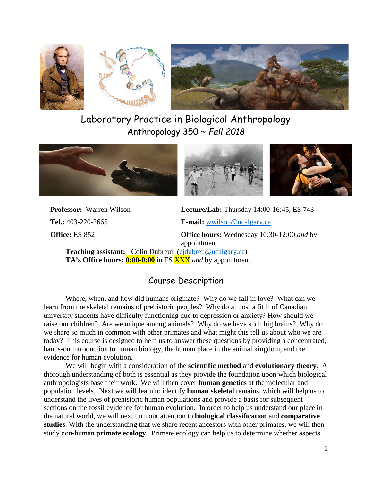



# Laboratory Practice in Biological Anthropology Anthropology 350 ~ *Fall 2018*





**Professor:** Warren Wilson **Lecture/Lab:** Thursday 14:00-16:45, ES 743

**Tel.:** 403-220-2665 **E-mail:** [wwilson@ucalgary.ca](mailto:wwilson@ucalgary.ca) **Office:** ES 852 **Office hours:** Wednesday 10:30-12:00 *and* by appointment

**Teaching assistant:** Colin Dubreuil (cjdubreu@ucalgary.ca)  **TA's Office hours: 0:00-0:00** in ES XXX *and* by appointment

# Course Description

Where, when, and how did humans originate? Why do we fall in love? What can we learn from the skeletal remains of prehistoric peoples? Why do almost a fifth of Canadian university students have difficulty functioning due to depression or anxiety? How should we raise our children? Are we unique among animals? Why do we have such big brains? Why do we share so much in common with other primates and what might this tell us about who we are today? This course is designed to help us to answer these questions by providing a concentrated, hands-on introduction to human biology, the human place in the animal kingdom, and the evidence for human evolution.

We will begin with a consideration of the **scientific method** and **evolutionary theory**. A thorough understanding of both is essential as they provide the foundation upon which biological anthropologists base their work. We will then cover **human genetics** at the molecular and population levels. Next we will learn to identify **human skeletal** remains, which will help us to understand the lives of prehistoric human populations and provide a basis for subsequent sections on the fossil evidence for human evolution. In order to help us understand our place in the natural world, we will next turn our attention to **biological classification** and **comparative studies**. With the understanding that we share recent ancestors with other primates, we will then study non-human **primate ecology**. Primate ecology can help us to determine whether aspects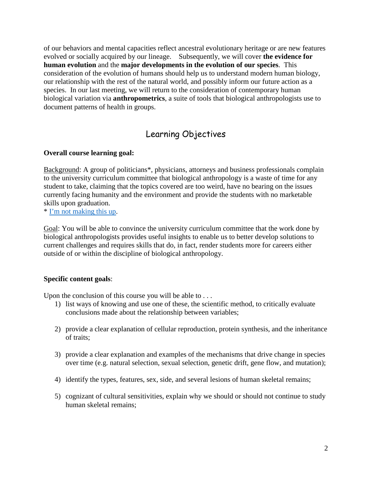of our behaviors and mental capacities reflect ancestral evolutionary heritage or are new features evolved or socially acquired by our lineage. Subsequently, we will cover **the evidence for human evolution** and the **major developments in the evolution of our species**. This consideration of the evolution of humans should help us to understand modern human biology, our relationship with the rest of the natural world, and possibly inform our future action as a species. In our last meeting, we will return to the consideration of contemporary human biological variation via **anthropometrics**, a suite of tools that biological anthropologists use to document patterns of health in groups.

# Learning Objectives

## **Overall course learning goal:**

Background: A group of politicians\*, physicians, attorneys and business professionals complain to the university curriculum committee that biological anthropology is a waste of time for any student to take, claiming that the topics covered are too weird, have no bearing on the issues currently facing humanity and the environment and provide the students with no marketable skills upon graduation.

\* [I'm not making this](http://www.motherjones.com/politics/2011/10/rick-scott-liberal-arts-majors-drop-dead-anthropology/) up.

Goal: You will be able to convince the university curriculum committee that the work done by biological anthropologists provides useful insights to enable us to better develop solutions to current challenges and requires skills that do, in fact, render students more for careers either outside of or within the discipline of biological anthropology.

#### **Specific content goals**:

Upon the conclusion of this course you will be able to ...

- 1) list ways of knowing and use one of these, the scientific method, to critically evaluate conclusions made about the relationship between variables;
- 2) provide a clear explanation of cellular reproduction, protein synthesis, and the inheritance of traits;
- 3) provide a clear explanation and examples of the mechanisms that drive change in species over time (e.g. natural selection, sexual selection, genetic drift, gene flow, and mutation);
- 4) identify the types, features, sex, side, and several lesions of human skeletal remains;
- 5) cognizant of cultural sensitivities, explain why we should or should not continue to study human skeletal remains;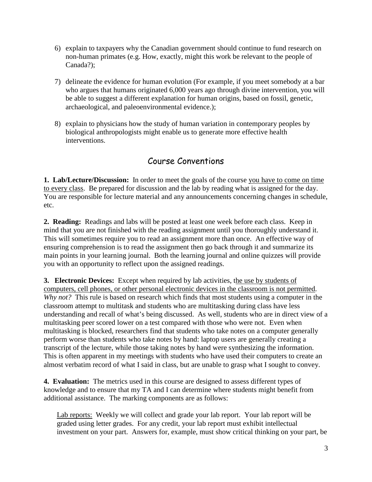- 6) explain to taxpayers why the Canadian government should continue to fund research on non-human primates (e.g. How, exactly, might this work be relevant to the people of Canada?);
- 7) delineate the evidence for human evolution (For example, if you meet somebody at a bar who argues that humans originated 6,000 years ago through divine intervention, you will be able to suggest a different explanation for human origins, based on fossil, genetic, archaeological, and paleoenvironmental evidence.);
- 8) explain to physicians how the study of human variation in contemporary peoples by biological anthropologists might enable us to generate more effective health interventions.

# Course Conventions

**1. Lab/Lecture/Discussion:**In order to meet the goals of the course you have to come on time to every class. Be prepared for discussion and the lab by reading what is assigned for the day. You are responsible for lecture material and any announcements concerning changes in schedule, etc.

**2. Reading:** Readings and labs will be posted at least one week before each class. Keep in mind that you are not finished with the reading assignment until you thoroughly understand it. This will sometimes require you to read an assignment more than once. An effective way of ensuring comprehension is to read the assignment then go back through it and summarize its main points in your learning journal. Both the learning journal and online quizzes will provide you with an opportunity to reflect upon the assigned readings.

**3. Electronic Devices:** Except when required by lab activities, the use by students of computers, cell phones, or other personal electronic devices in the classroom is not permitted. *Why not?* This rule is based on research which finds that most students using a computer in the classroom attempt to multitask and students who are multitasking during class have less understanding and recall of what's being discussed. As well, students who are in direct view of a multitasking peer scored lower on a test compared with those who were not. Even when multitasking is blocked, researchers find that students who take notes on a computer generally perform worse than students who take notes by hand: laptop users are generally creating a transcript of the lecture, while those taking notes by hand were synthesizing the information. This is often apparent in my meetings with students who have used their computers to create an almost verbatim record of what I said in class, but are unable to grasp what I sought to convey.

**4. Evaluation:** The metrics used in this course are designed to assess different types of knowledge and to ensure that my TA and I can determine where students might benefit from additional assistance. The marking components are as follows:

Lab reports: Weekly we will collect and grade your lab report. Your lab report will be graded using letter grades. For any credit, your lab report must exhibit intellectual investment on your part. Answers for, example, must show critical thinking on your part, be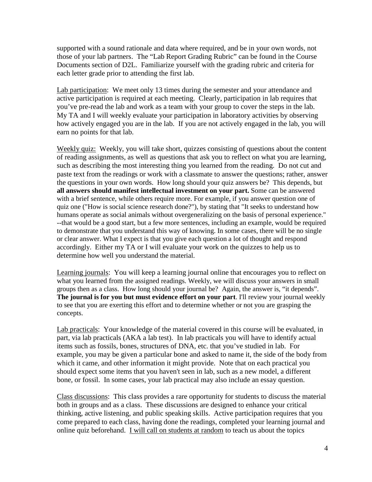supported with a sound rationale and data where required, and be in your own words, not those of your lab partners. The "Lab Report Grading Rubric" can be found in the Course Documents section of D2L. Familiarize yourself with the grading rubric and criteria for each letter grade prior to attending the first lab.

Lab participation: We meet only 13 times during the semester and your attendance and active participation is required at each meeting. Clearly, participation in lab requires that you've pre-read the lab and work as a team with your group to cover the steps in the lab. My TA and I will weekly evaluate your participation in laboratory activities by observing how actively engaged you are in the lab. If you are not actively engaged in the lab, you will earn no points for that lab.

Weekly quiz: Weekly, you will take short, quizzes consisting of questions about the content of reading assignments, as well as questions that ask you to reflect on what you are learning, such as describing the most interesting thing you learned from the reading. Do not cut and paste text from the readings or work with a classmate to answer the questions; rather, answer the questions in your own words. How long should your quiz answers be? This depends, but **all answers should manifest intellectual investment on your part.** Some can be answered with a brief sentence, while others require more. For example, if you answer question one of quiz one ("How is social science research done?"), by stating that "It seeks to understand how humans operate as social animals without overgeneralizing on the basis of personal experience." --that would be a good start, but a few more sentences, including an example, would be required to demonstrate that you understand this way of knowing. In some cases, there will be no single or clear answer. What I expect is that you give each question a lot of thought and respond accordingly. Either my TA or I will evaluate your work on the quizzes to help us to determine how well you understand the material.

Learning journals: You will keep a learning journal online that encourages you to reflect on what you learned from the assigned readings. Weekly, we will discuss your answers in small groups then as a class. How long should your journal be? Again, the answer is, "it depends". **The journal is for you but must evidence effort on your part**. I'll review your journal weekly to see that you are exerting this effort and to determine whether or not you are grasping the concepts.

Lab practicals: Your knowledge of the material covered in this course will be evaluated, in part, via lab practicals (AKA a lab test). In lab practicals you will have to identify actual items such as fossils, bones, structures of DNA, etc. that you've studied in lab. For example, you may be given a particular bone and asked to name it, the side of the body from which it came, and other information it might provide. Note that on each practical you should expect some items that you haven't seen in lab, such as a new model, a different bone, or fossil. In some cases, your lab practical may also include an essay question.

Class discussions: This class provides a rare opportunity for students to discuss the material both in groups and as a class. These discussions are designed to enhance your critical thinking, active listening, and public speaking skills. Active participation requires that you come prepared to each class, having done the readings, completed your learning journal and online quiz beforehand. I will call on students at random to teach us about the topics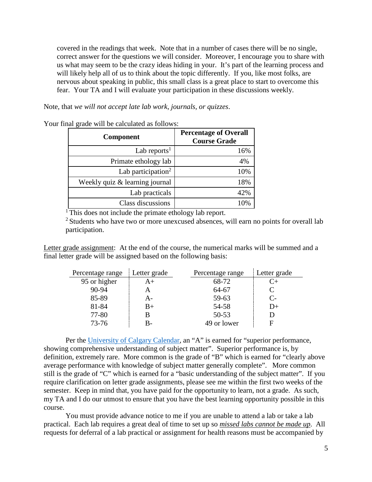covered in the readings that week. Note that in a number of cases there will be no single, correct answer for the questions we will consider. Moreover, I encourage you to share with us what may seem to be the crazy ideas hiding in your. It's part of the learning process and will likely help all of us to think about the topic differently. If you, like most folks, are nervous about speaking in public, this small class is a great place to start to overcome this fear. Your TA and I will evaluate your participation in these discussions weekly.

Note, that *we will not accept late lab work, journals, or quizzes*.

| <b>Component</b>               | <b>Percentage of Overall</b><br><b>Course Grade</b> |  |
|--------------------------------|-----------------------------------------------------|--|
| Lab reports <sup>1</sup>       | 16%                                                 |  |
| Primate ethology lab           | 4%                                                  |  |
| Lab participation <sup>2</sup> | 10%                                                 |  |
| Weekly quiz & learning journal | 18%                                                 |  |
| Lab practicals                 | 42%                                                 |  |
| Class discussions              |                                                     |  |

Your final grade will be calculated as follows:

<sup>1</sup> This does not include the primate ethology lab report.

 $2$  Students who have two or more unexcused absences, will earn no points for overall lab participation.

Letter grade assignment: At the end of the course, the numerical marks will be summed and a final letter grade will be assigned based on the following basis:

| Percentage range | Letter grade | Percentage range | Letter grade |
|------------------|--------------|------------------|--------------|
| 95 or higher     | $A+$         | 68-72            |              |
| $90 - 94$        |              | 64-67            |              |
| 85-89            | A-           | 59-63            | C-           |
| 81-84            | $B+$         | 54-58            | $_{12+}$     |
| 77-80            | B            | $50 - 53$        |              |
| $73 - 76$        | B-           | 49 or lower      | F            |

Per the [University of Calgary Calendar,](https://www.ucalgary.ca/pubs/calendar/archives/2015/f-2.html) an "A" is earned for "superior performance, showing comprehensive understanding of subject matter". Superior performance is, by definition, extremely rare. More common is the grade of "B" which is earned for "clearly above average performance with knowledge of subject matter generally complete". More common still is the grade of "C" which is earned for a "basic understanding of the subject matter". If you require clarification on letter grade assignments, please see me within the first two weeks of the semester. Keep in mind that, you have paid for the opportunity to learn, not a grade. As such, my TA and I do our utmost to ensure that you have the best learning opportunity possible in this course.

You must provide advance notice to me if you are unable to attend a lab or take a lab practical. Each lab requires a great deal of time to set up so *missed labs cannot be made up*. All requests for deferral of a lab practical or assignment for health reasons must be accompanied by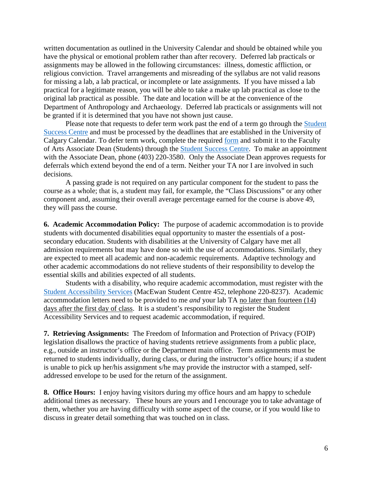written documentation as outlined in the University Calendar and should be obtained while you have the physical or emotional problem rather than after recovery. Deferred lab practicals or assignments may be allowed in the following circumstances: illness, domestic affliction, or religious conviction. Travel arrangements and misreading of the syllabus are not valid reasons for missing a lab, a lab practical, or incomplete or late assignments. If you have missed a lab practical for a legitimate reason, you will be able to take a make up lab practical as close to the original lab practical as possible. The date and location will be at the convenience of the Department of Anthropology and Archaeology. Deferred lab practicals or assignments will not be granted if it is determined that you have not shown just cause.

Please note that requests to defer term work past the end of a term go through the Student [Success Centre](http://www.ucalgary.ca/ssc/) and must be processed by the deadlines that are established in the University of Calgary Calendar. To defer term work, complete the required [form](https://www.ucalgary.ca/registrar/student-forms) and submit it to the Faculty of Arts Associate Dean (Students) through the [Student Success Centre.](https://www.ucalgary.ca/ssc/) To make an appointment with the Associate Dean, phone (403) 220-3580. Only the Associate Dean approves requests for deferrals which extend beyond the end of a term. Neither your TA nor I are involved in such decisions.

A passing grade is not required on any particular component for the student to pass the course as a whole; that is, a student may fail, for example, the "Class Discussions" or any other component and, assuming their overall average percentage earned for the course is above 49, they will pass the course.

**6. Academic Accommodation Policy:** The purpose of academic accommodation is to provide students with documented disabilities equal opportunity to master the essentials of a postsecondary education. Students with disabilities at the University of Calgary have met all admission requirements but may have done so with the use of accommodations. Similarly, they are expected to meet all academic and non-academic requirements. Adaptive technology and other academic accommodations do not relieve students of their responsibility to develop the essential skills and abilities expected of all students.

Students with a disability, who require academic accommodation, must register with the [Student Accessibility Services](http://www.ucalgary.ca/access/) (MacEwan Student Centre 452, telephone 220-8237). Academic accommodation letters need to be provided to me *and* your lab TA no later than fourteen (14) days after the first day of class. It is a student's responsibility to register the Student Accessibility Services and to request academic accommodation, if required.

**7. Retrieving Assignments:** The Freedom of Information and Protection of Privacy (FOIP) legislation disallows the practice of having students retrieve assignments from a public place, e.g., outside an instructor's office or the Department main office. Term assignments must be returned to students individually, during class, or during the instructor's office hours; if a student is unable to pick up her/his assignment s/he may provide the instructor with a stamped, selfaddressed envelope to be used for the return of the assignment.

**8. Office Hours:**I enjoy having visitors during my office hours and am happy to schedule additional times as necessary. These hours are yours and I encourage you to take advantage of them, whether you are having difficulty with some aspect of the course, or if you would like to discuss in greater detail something that was touched on in class.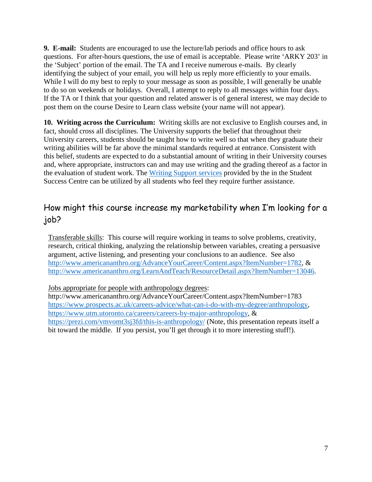**9. E-mail:** Students are encouraged to use the lecture/lab periods and office hours to ask questions. For after-hours questions, the use of email is acceptable. Please write 'ARKY 203' in the 'Subject' portion of the email. The TA and I receive numerous e-mails. By clearly identifying the subject of your email, you will help us reply more efficiently to your emails. While I will do my best to reply to your message as soon as possible, I will generally be unable to do so on weekends or holidays. Overall, I attempt to reply to all messages within four days. If the TA or I think that your question and related answer is of general interest, we may decide to post them on the course Desire to Learn class website (your name will not appear).

**10. Writing across the Curriculum:** Writing skills are not exclusive to English courses and, in fact, should cross all disciplines. The University supports the belief that throughout their University careers, students should be taught how to write well so that when they graduate their writing abilities will be far above the minimal standards required at entrance. Consistent with this belief, students are expected to do a substantial amount of writing in their University courses and, where appropriate, instructors can and may use writing and the grading thereof as a factor in the evaluation of student work. The [Writing Support services](https://www.ucalgary.ca/ssc/writing_support/overview) provided by the in the Student Success Centre can be utilized by all students who feel they require further assistance.

# How might this course increase my marketability when I'm looking for a job?

Transferable skills: This course will require working in teams to solve problems, creativity, research, critical thinking, analyzing the relationship between variables, creating a persuasive argument, active listening, and presenting your conclusions to an audience. See also [http://www.americananthro.org/AdvanceYourCareer/Content.aspx?ItemNumber=1782,](http://www.americananthro.org/AdvanceYourCareer/Content.aspx?ItemNumber=1782) & [http://www.americananthro.org/LearnAndTeach/ResourceDetail.aspx?ItemNumber=13046.](http://www.americananthro.org/LearnAndTeach/ResourceDetail.aspx?ItemNumber=13046)

Jobs appropriate for people with anthropology degrees:

http://www.americananthro.org/AdvanceYourCareer/Content.aspx?ItemNumber=1783 [https://www.prospects.ac.uk/careers-advice/what-can-i-do-with-my-degree/anthropology,](https://www.prospects.ac.uk/careers-advice/what-can-i-do-with-my-degree/anthropology) [https://www.utm.utoronto.ca/careers/careers-by-major-anthropology,](https://www.utm.utoronto.ca/careers/careers-by-major-anthropology) & <https://prezi.com/vmvomt3sj3fd/this-is-anthropology/> (Note, this presentation repeats itself a bit toward the middle. If you persist, you'll get through it to more interesting stuff!).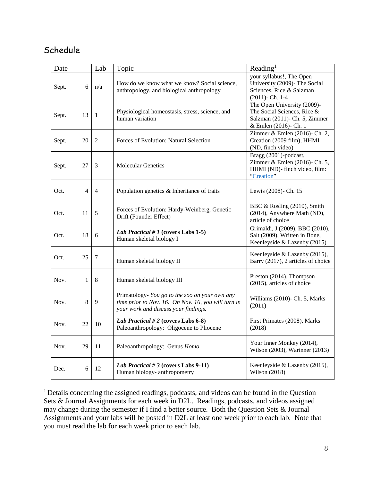# Schedule

| Date  |    | Lab            | Topic                                                                                                                                         | Reading <sup>1</sup>                                                                                                 |
|-------|----|----------------|-----------------------------------------------------------------------------------------------------------------------------------------------|----------------------------------------------------------------------------------------------------------------------|
| Sept. | 6  | n/a            | How do we know what we know? Social science,<br>anthropology, and biological anthropology                                                     | your syllabus!, The Open<br>University (2009)- The Social<br>Sciences, Rice & Salzman<br>$(2011)$ - Ch. 1-4          |
| Sept. | 13 | 1              | Physiological homeostasis, stress, science, and<br>human variation                                                                            | The Open University (2009)-<br>The Social Sciences, Rice &<br>Salzman (2011)- Ch. 5, Zimmer<br>& Emlen (2016)- Ch. 1 |
| Sept. | 20 | $\overline{c}$ | Forces of Evolution: Natural Selection                                                                                                        | Zimmer & Emlen (2016)- Ch. 2,<br>Creation (2009 film), HHMI<br>(ND, finch video)                                     |
| Sept. | 27 | 3              | <b>Molecular Genetics</b>                                                                                                                     | Bragg (2001)-podcast,<br>Zimmer & Emlen (2016)- Ch. 5,<br>HHMI (ND)- finch video, film:<br>"Creation"                |
| Oct.  | 4  | $\overline{4}$ | Population genetics & Inheritance of traits                                                                                                   | Lewis (2008)- Ch. 15                                                                                                 |
| Oct.  | 11 | 5              | Forces of Evolution: Hardy-Weinberg, Genetic<br>Drift (Founder Effect)                                                                        | BBC & Rosling (2010), Smith<br>(2014), Anywhere Math (ND),<br>article of choice                                      |
| Oct.  | 18 | 6              | Lab Practical # 1 (covers Labs 1-5)<br>Human skeletal biology I                                                                               | Grimaldi, J (2009), BBC (2010),<br>Salt (2009), Written in Bone,<br>Keenleyside & Lazenby (2015)                     |
| Oct.  | 25 | 7              | Human skeletal biology II                                                                                                                     | Keenleyside & Lazenby (2015),<br>Barry (2017), 2 articles of choice                                                  |
| Nov.  | 1  | 8              | Human skeletal biology III                                                                                                                    | Preston (2014), Thompson<br>(2015), articles of choice                                                               |
| Nov.  | 8  | 9              | Primatology- You go to the zoo on your own any<br>time prior to Nov. 16. On Nov. 16, you will turn in<br>your work and discuss your findings. | Williams (2010)- Ch. 5, Marks<br>(2011)                                                                              |
| Nov.  | 22 | 10             | Lab Practical # 2 (covers Labs $6-8$ )<br>Paleoanthropology: Oligocene to Pliocene                                                            | First Primates (2008), Marks<br>(2018)                                                                               |
| Nov.  | 29 | 11             | Paleoanthropology: Genus Homo                                                                                                                 | Your Inner Monkey (2014),<br>Wilson (2003), Warinner (2013)                                                          |
| Dec.  | 6  | 12             | Lab Practical # 3 (covers Labs 9-11)<br>Human biology- anthropometry                                                                          | Keenleyside & Lazenby (2015),<br>Wilson (2018)                                                                       |

1 Details concerning the assigned readings, podcasts, and videos can be found in the Question Sets & Journal Assignments for each week in D2L. Readings, podcasts, and videos assigned may change during the semester if I find a better source. Both the Question Sets & Journal Assignments and your labs will be posted in D2L at least one week prior to each lab. Note that you must read the lab for each week prior to each lab.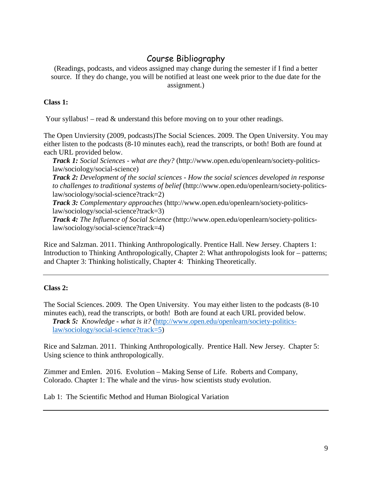# Course Bibliography

(Readings, podcasts, and videos assigned may change during the semester if I find a better source. If they do change, you will be notified at least one week prior to the due date for the assignment.)

### **Class 1:**

Your syllabus! – read & understand this before moving on to your other readings.

The Open Unviersity (2009, podcasts)The Social Sciences. 2009. The Open University. You may either listen to the podcasts (8-10 minutes each), read the transcripts, or both! Both are found at each URL provided below.

*Track 1: Social Sciences - what are they?* (http://www.open.edu/openlearn/society-politicslaw/sociology/social-science)

*Track 2: Development of the social sciences - How the social sciences developed in response to challenges to traditional systems of belief* (http://www.open.edu/openlearn/society-politicslaw/sociology/social-science?track=2)

*Track 3: Complementary approaches* (http://www.open.edu/openlearn/society-politicslaw/sociology/social-science?track=3)

*Track 4: The Influence of Social Science* (http://www.open.edu/openlearn/society-politicslaw/sociology/social-science?track=4)

Rice and Salzman. 2011. Thinking Anthropologically. Prentice Hall. New Jersey. Chapters 1: Introduction to Thinking Anthropologically, Chapter 2: What anthropologists look for – patterns; and Chapter 3: Thinking holistically, Chapter 4: Thinking Theoretically.

## **Class 2:**

The Social Sciences. 2009. The Open University. You may either listen to the podcasts (8-10 minutes each), read the transcripts, or both! Both are found at each URL provided below. *Track 5: Knowledge - what is it?* [\(http://www.open.edu/openlearn/society-politics](http://www.open.edu/openlearn/society-politics-law/sociology/social-science?track=5)[law/sociology/social-science?track=5\)](http://www.open.edu/openlearn/society-politics-law/sociology/social-science?track=5)

Rice and Salzman. 2011. Thinking Anthropologically. Prentice Hall. New Jersey. Chapter 5: Using science to think anthropologically.

Zimmer and Emlen. 2016. Evolution – Making Sense of Life. Roberts and Company, Colorado. Chapter 1: The whale and the virus- how scientists study evolution.

Lab 1: The Scientific Method and Human Biological Variation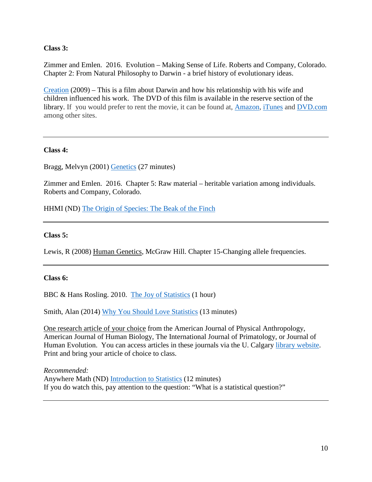**Class 3:**

Zimmer and Emlen. 2016. Evolution – Making Sense of Life. Roberts and Company, Colorado. Chapter 2: From Natural Philosophy to Darwin - a brief history of evolutionary ideas.

[Creation](https://www.imdb.com/title/tt0974014/) (2009) – This is a film about Darwin and how his relationship with his wife and children influenced his work. The DVD of this film is available in the reserve section of the library. If you would prefer to rent the movie, it can be found at, [Amazon,](https://www.amazon.com/Creation-Jennifer-Connelly/dp/B003U61JOW) [iTunes](https://itunes.apple.com/us/movie/creation-2009/id372901634) and [DVD.com](https://dvd.netflix.com/Movie/Creation/70121931) among other sites.

#### **Class 4:**

Bragg, Melvyn (2001) [Genetics](http://www.bbc.co.uk/programmes/p00547md#play) (27 minutes)

Zimmer and Emlen. 2016. Chapter 5: Raw material – heritable variation among individuals. Roberts and Company, Colorado.

HHMI (ND) [The Origin of Species: The Beak of the Finch](http://www.hhmi.org/biointeractive/origin-species-beak-finch)

#### **Class 5:**

Lewis, R (2008) Human Genetics, McGraw Hill. Chapter 15-Changing allele frequencies.

#### **Class 6:**

BBC & Hans Rosling. 2010. [The Joy of Statistics](https://www.gapminder.org/videos/the-joy-of-stats/) (1 hour)

Smith, Alan (2014) [Why You Should Love Statistics](https://www.youtube.com/watch?v=ogeGJS0GEF4) (13 minutes)

One research article of your choice from the American Journal of Physical Anthropology, American Journal of Human Biology, The International Journal of Primatology, or Journal of Human Evolution. You can access articles in these journals via the U. Calgary [library website.](http://library.ucalgary.ca/) Print and bring your article of choice to class.

*Recommended:* Anywhere Math (ND) [Introduction to Statistics](https://www.youtube.com/watch?v=LMSyiAJm99g) (12 minutes) If you do watch this, pay attention to the question: "What is a statistical question?"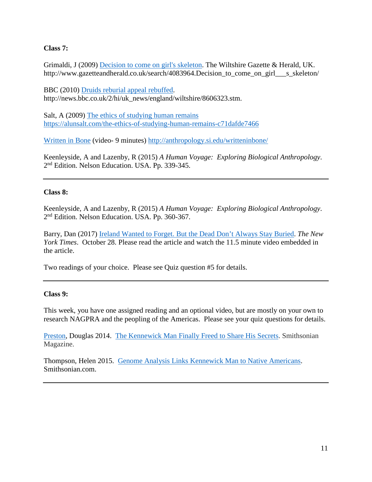### **Class 7:**

Grimaldi, J (2009) [Decision to come on girl's skeleton.](http://www.gazetteandherald.co.uk/search/4083964.Decision_to_come_on_girl___s_skeleton/) The Wiltshire Gazette & Herald, UK. http://www.gazetteandherald.co.uk/search/4083964.Decision to come on girl s skeleton/

BBC (2010) [Druids reburial appeal rebuffed.](http://news.bbc.co.uk/2/hi/uk_news/england/wiltshire/8606323.stm) http://news.bbc.co.uk/2/hi/uk\_news/england/wiltshire/8606323.stm.

Salt, A (2009) [The ethics of studying human remains](https://alunsalt.com/the-ethics-of-studying-human-remains-c71dafde7466) <https://alunsalt.com/the-ethics-of-studying-human-remains-c71dafde7466>

[Written in Bone](http://anthropology.si.edu/writteninbone/) (video- 9 minutes)<http://anthropology.si.edu/writteninbone/>

Keenleyside, A and Lazenby, R (2015) *A Human Voyage: Exploring Biological Anthropology*. 2nd Edition. Nelson Education. USA. Pp. 339-345.

### **Class 8:**

Keenleyside, A and Lazenby, R (2015) *A Human Voyage: Exploring Biological Anthropology*. 2<sup>nd</sup> Edition. Nelson Education. USA. Pp. 360-367.

Barry, Dan (2017) [Ireland Wanted to Forget. But the Dead Don't Always](https://www.nytimes.com/interactive/2017/10/28/world/europe/tuam-ireland-babies-children.html?action=click&contentCollection=Real%20Estate&module=Trending&version=Full®ion=Marginalia&pgtype=article) Stay Buried. *The New York Times*. October 28. Please read the article and watch the 11.5 minute video embedded in the article.

Two readings of your choice. Please see Quiz question #5 for details.

#### **Class 9:**

This week, you have one assigned reading and an optional video, but are mostly on your own to research NAGPRA and the peopling of the Americas. Please see your quiz questions for details.

[Preston,](https://www.smithsonianmag.com/author/douglas-preston/) Douglas 2014. [The Kennewick Man Finally Freed to Share His Secrets.](https://www.smithsonianmag.com/history/kennewick-man-finally-freed-share-his-secrets-180952462/) Smithsonian Magazine.

Thompson, Helen 2015. [Genome Analysis Links Kennewick Man to Native Americans.](https://www.smithsonianmag.com/science-nature/genome-analysis-links-kennewick-man-native-americans-180955638/) Smithsonian.com.